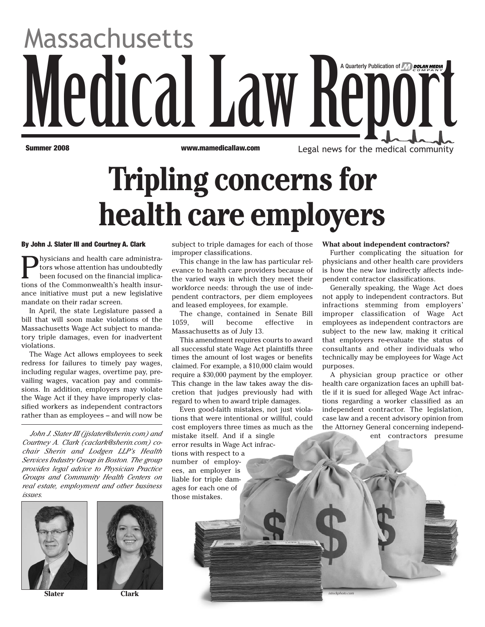# Medical Law Report Massachusetts A Quarterly Publication of

**Summer 2008 www.mamedicallaw.com** Legal news for the medical community

# **Tripling concerns for health care employers**

### **By John J. Slater III and Courtney A. Clark**

Physicians and health care administra-<br>tors whose attention has undoubtedly<br>been focused on the financial implicators whose attention has undoubtedly been focused on the financial implications of the Commonwealth's health insurance initiative must put a new legislative mandate on their radar screen.

In April, the state Legislature passed a bill that will soon make violations of the Massachusetts Wage Act subject to mandatory triple damages, even for inadvertent violations.

The Wage Act allows employees to seek redress for failures to timely pay wages, including regular wages, overtime pay, prevailing wages, vacation pay and commissions. In addition, employers may violate the Wage Act if they have improperly classified workers as independent contractors rather than as employees – and will now be

*John J. Slater III (jjslater@sherin.com) and Courtney A. Clark (caclark@sherin.com) cochair Sherin and Lodgen LLP's Health Services Industry Group in Boston. The group provides legal advice to Physician Practice Groups and Community Health Centers on real estate, employment and other business issues.* 





subject to triple damages for each of those improper classifications.

This change in the law has particular relevance to health care providers because of the varied ways in which they meet their workforce needs: through the use of independent contractors, per diem employees and leased employees, for example.

The change, contained in Senate Bill 1059, will become effective in Massachusetts as of July 13.

This amendment requires courts to award all successful state Wage Act plaintiffs three times the amount of lost wages or benefits claimed. For example, a \$10,000 claim would require a \$30,000 payment by the employer. This change in the law takes away the discretion that judges previously had with regard to when to award triple damages.

Even good-faith mistakes, not just violations that were intentional or willful, could cost employers three times as much as the mistake itself. And if a single error results in Wage Act infractions with respect to a number of employees, an employer is liable for triple damages for each one of those mistakes.

#### **What about independent contractors?**

Further complicating the situation for physicians and other health care providers is how the new law indirectly affects independent contractor classifications.

Generally speaking, the Wage Act does not apply to independent contractors. But infractions stemming from employers' improper classification of Wage Act employees as independent contractors are subject to the new law, making it critical that employers re-evaluate the status of consultants and other individuals who technically may be employees for Wage Act purposes.

A physician group practice or other health care organization faces an uphill battle if it is sued for alleged Wage Act infractions regarding a worker classified as an independent contractor. The legislation, case law and a recent advisory opinion from the Attorney General concerning independent contractors presume